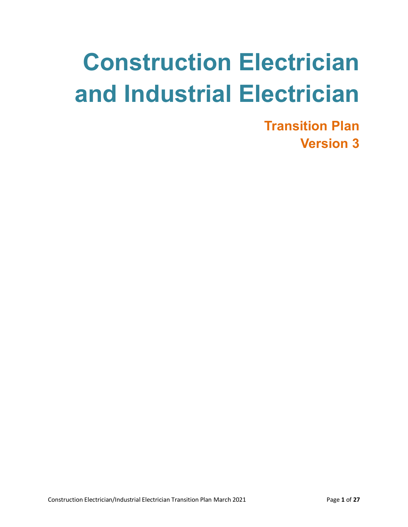# **Construction Electrician and Industrial Electrician**

**Transition Plan Version 3**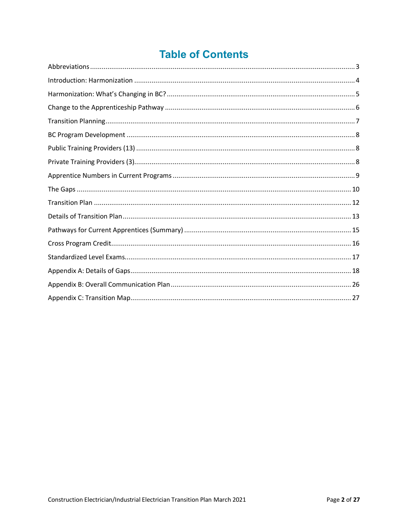## **Table of Contents**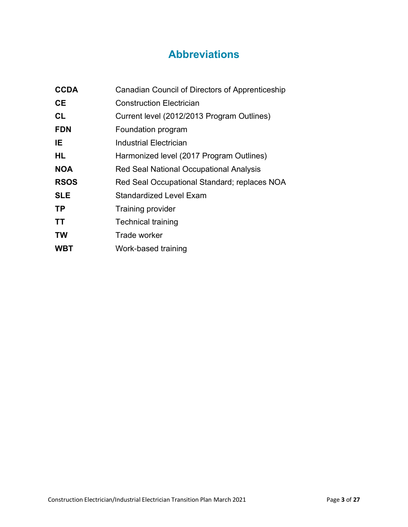## **Abbreviations**

<span id="page-2-0"></span>

| Canadian Council of Directors of Apprenticeship |
|-------------------------------------------------|
| <b>Construction Electrician</b>                 |
| Current level (2012/2013 Program Outlines)      |
| Foundation program                              |
| Industrial Electrician                          |
| Harmonized level (2017 Program Outlines)        |
| Red Seal National Occupational Analysis         |
| Red Seal Occupational Standard; replaces NOA    |
| <b>Standardized Level Exam</b>                  |
| <b>Training provider</b>                        |
| <b>Technical training</b>                       |
| Trade worker                                    |
| Work-based training                             |
|                                                 |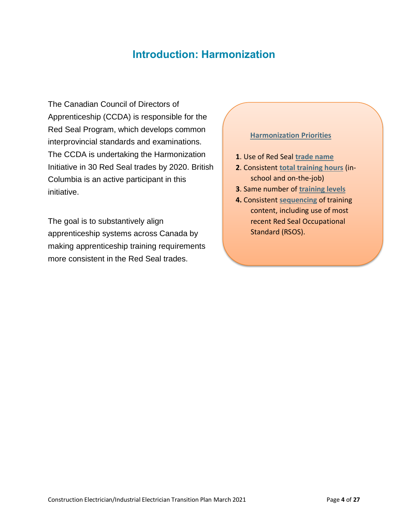## **Introduction: Harmonization**

<span id="page-3-0"></span>The Canadian Council of Directors of Apprenticeship (CCDA) is responsible for the Red Seal Program, which develops common interprovincial standards and examinations. The CCDA is undertaking the Harmonization Initiative in 30 Red Seal trades by 2020. British Columbia is an active participant in this initiative.

The goal is to substantively align apprenticeship systems across Canada by making apprenticeship training requirements more consistent in the Red Seal trades.

#### **Harmonization Priorities**

- **1**. Use of Red Seal **trade name**
- **2**. Consistent **total training hours** (inschool and on-the-job)
- **3**. Same number of **training levels**
- **4.** Consistent **sequencing** of training content, including use of most recent Red Seal Occupational Standard (RSOS).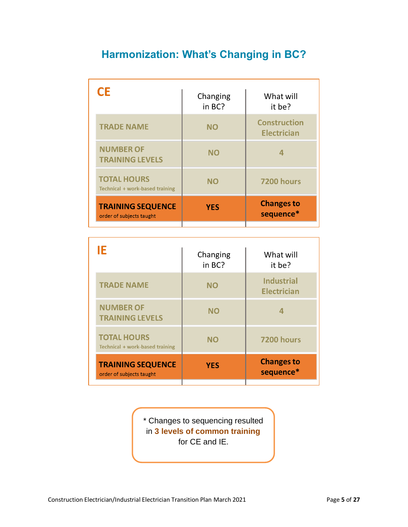# <span id="page-4-0"></span>**Harmonization: What's Changing in BC?**

| CE                                                    | Changing<br>in BC? | What will<br>it be?                       |
|-------------------------------------------------------|--------------------|-------------------------------------------|
| <b>TRADE NAME</b>                                     | <b>NO</b>          | <b>Construction</b><br><b>Electrician</b> |
| <b>NUMBER OF</b><br><b>TRAINING LEVELS</b>            | <b>NO</b>          | 4                                         |
| <b>TOTAL HOURS</b><br>Technical + work-based training | <b>NO</b>          | 7200 hours                                |
| <b>TRAINING SEQUENCE</b><br>order of subjects taught  | <b>YES</b>         | <b>Changes to</b><br>sequence*            |

| Changing<br>in BC? | What will<br>it be?                     |
|--------------------|-----------------------------------------|
| <b>NO</b>          | <b>Industrial</b><br><b>Electrician</b> |
| NΟ                 | 4                                       |
| <b>NO</b>          | 7200 hours                              |
| <b>YES</b>         | <b>Changes to</b><br>sequence*          |
|                    |                                         |

\* Changes to sequencing resulted in **3 levels of common training** for CE and IE.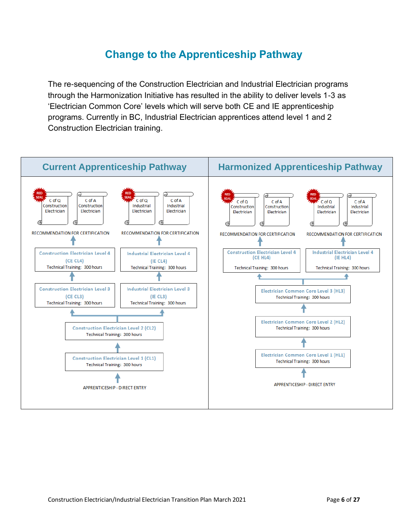## **Change to the Apprenticeship Pathway**

<span id="page-5-0"></span>The re-sequencing of the Construction Electrician and Industrial Electrician programs through the Harmonization Initiative has resulted in the ability to deliver levels 1-3 as 'Electrician Common Core' levels which will serve both CE and IE apprenticeship programs. Currently in BC, Industrial Electrician apprentices attend level 1 and 2 Construction Electrician training.

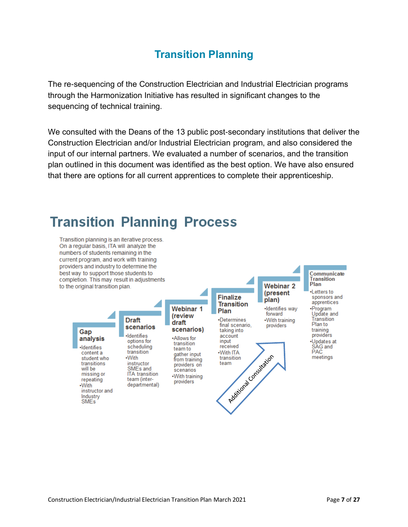## **Transition Planning**

<span id="page-6-0"></span>The re-sequencing of the Construction Electrician and Industrial Electrician programs through the Harmonization Initiative has resulted in significant changes to the sequencing of technical training.

We consulted with the Deans of the 13 public post-secondary institutions that deliver the Construction Electrician and/or Industrial Electrician program, and also considered the input of our internal partners. We evaluated a number of scenarios, and the transition plan outlined in this document was identified as the best option. We have also ensured that there are options for all current apprentices to complete their apprenticeship.

# **Transition Planning Process**

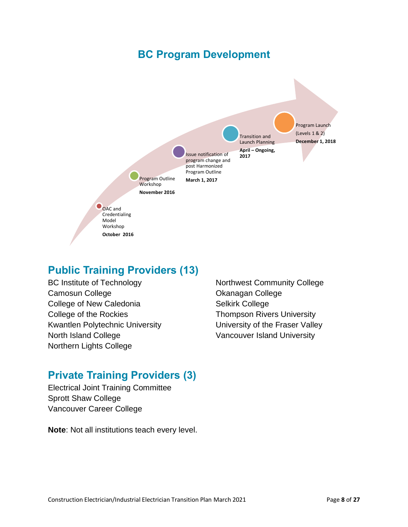## **BC Program Development**

<span id="page-7-0"></span>

## <span id="page-7-1"></span>**Public Training Providers (13)**

- BC Institute of Technology Camosun College College of New Caledonia College of the Rockies Kwantlen Polytechnic University North Island College Northern Lights College
- Northwest Community College Okanagan College Selkirk College Thompson Rivers University University of the Fraser Valley Vancouver Island University

## <span id="page-7-2"></span>**Private Training Providers (3)**

Electrical Joint Training Committee Sprott Shaw College Vancouver Career College

**Note**: Not all institutions teach every level.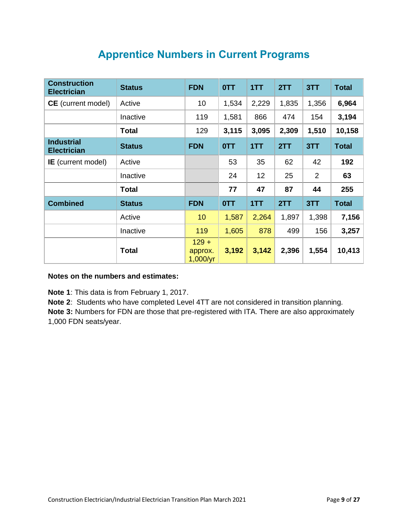<span id="page-8-0"></span>

| <b>Construction</b><br><b>Electrician</b> | <b>Status</b> | <b>FDN</b>                     | 0TT        | 1TT   | 2TT   | 3TT   | <b>Total</b> |
|-------------------------------------------|---------------|--------------------------------|------------|-------|-------|-------|--------------|
| <b>CE</b> (current model)                 | Active        | 10                             | 1,534      | 2,229 | 1,835 | 1,356 | 6,964        |
|                                           | Inactive      | 119                            | 1,581      | 866   | 474   | 154   | 3,194        |
|                                           | <b>Total</b>  | 129                            | 3,115      | 3,095 | 2,309 | 1,510 | 10,158       |
| <b>Industrial</b><br><b>Electrician</b>   | <b>Status</b> | <b>FDN</b>                     | <b>OTT</b> | 1TT   | 2TT   | 3TT   | <b>Total</b> |
| <b>IE</b> (current model)                 | Active        |                                | 53         | 35    | 62    | 42    | 192          |
|                                           | Inactive      |                                | 24         | 12    | 25    | 2     | 63           |
|                                           | <b>Total</b>  |                                | 77         | 47    | 87    | 44    | 255          |
| <b>Combined</b>                           | <b>Status</b> | <b>FDN</b>                     | 0TT        | 1TT   | 2TT   | 3TT   | <b>Total</b> |
|                                           | Active        | 10                             | 1,587      | 2,264 | 1,897 | 1,398 | 7,156        |
|                                           | Inactive      | 119                            | 1,605      | 878   | 499   | 156   | 3,257        |
|                                           | <b>Total</b>  | $129 +$<br>approx.<br>1,000/yr | 3,192      | 3,142 | 2,396 | 1,554 | 10,413       |

## **Apprentice Numbers in Current Programs**

#### **Notes on the numbers and estimates:**

**Note 1**: This data is from February 1, 2017.

**Note 2**: Students who have completed Level 4TT are not considered in transition planning. **Note 3:** Numbers for FDN are those that pre-registered with ITA. There are also approximately 1,000 FDN seats/year.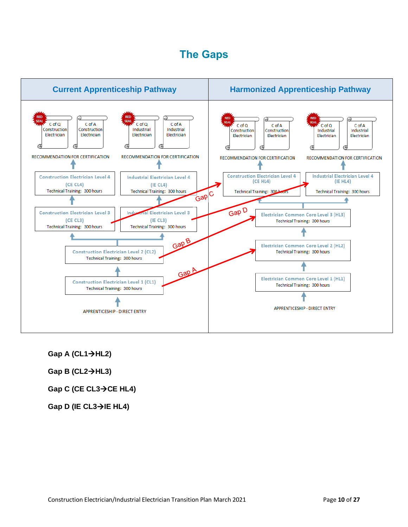## **The Gaps**

<span id="page-9-0"></span>

**Gap A (CL1**→**HL2)**

**Gap B (CL2**→**HL3)**

**Gap C (CE CL3**→**CE HL4)**

**Gap D (IE CL3**→**IE HL4)**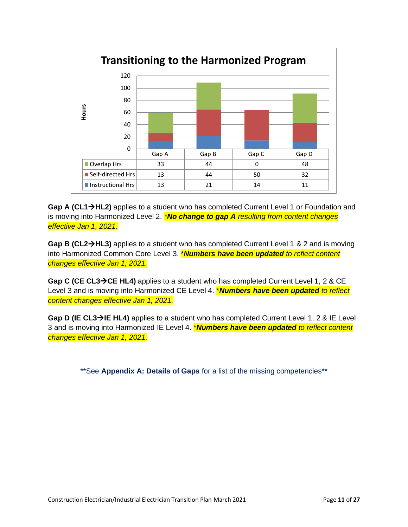

**Gap A (CL1**→**HL2)** applies to a student who has completed Current Level 1 or Foundation and is moving into Harmonized Level 2. *\*No change to gap A resulting from content changes effective Jan 1, 2021.*

**Gap B (CL2**→**HL3)** applies to a student who has completed Current Level 1 & 2 and is moving into Harmonized Common Core Level 3. \**Numbers have been updated to reflect content changes effective Jan 1, 2021.*

**Gap C (CE CL3**→**CE HL4)** applies to a student who has completed Current Level 1, 2 & CE Level 3 and is moving into Harmonized CE Level 4. \**Numbers have been updated to reflect content changes effective Jan 1, 2021.*

**Gap D (IE CL3**→**IE HL4)** applies to a student who has completed Current Level 1, 2 & IE Level 3 and is moving into Harmonized IE Level 4. \**Numbers have been updated to reflect content changes effective Jan 1, 2021.*

\*\*See **Appendix A: Details of Gaps** for a list of the missing competencies\*\*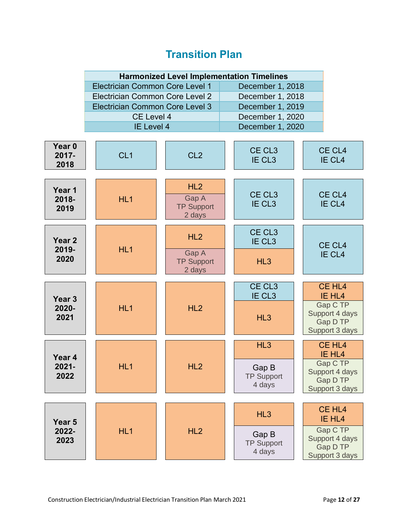## **Transition Plan**

<span id="page-11-0"></span>

| <b>Harmonized Level Implementation Timelines</b> |                  |  |  |
|--------------------------------------------------|------------------|--|--|
| Electrician Common Core Level 1                  | December 1, 2018 |  |  |
| Electrician Common Core Level 2                  | December 1, 2018 |  |  |
| Electrician Common Core Level 3                  | December 1, 2019 |  |  |
| <b>CE Level 4</b>                                | December 1, 2020 |  |  |
| IE Level 4                                       | December 1, 2020 |  |  |

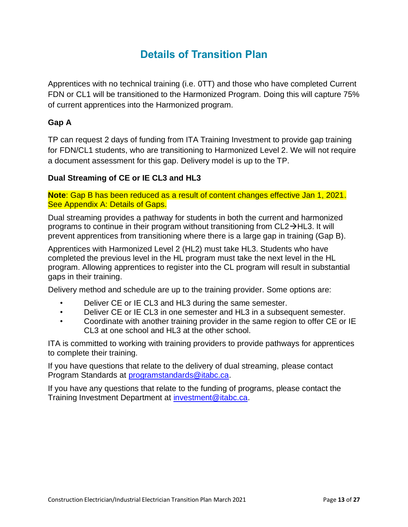## **Details of Transition Plan**

<span id="page-12-0"></span>Apprentices with no technical training (i.e. 0TT) and those who have completed Current FDN or CL1 will be transitioned to the Harmonized Program. Doing this will capture 75% of current apprentices into the Harmonized program.

#### **Gap A**

TP can request 2 days of funding from ITA Training Investment to provide gap training for FDN/CL1 students, who are transitioning to Harmonized Level 2. We will not require a document assessment for this gap. Delivery model is up to the TP.

#### **Dual Streaming of CE or IE CL3 and HL3**

**Note**: Gap B has been reduced as a result of content changes effective Jan 1, 2021. See Appendix A: Details of Gaps.

Dual streaming provides a pathway for students in both the current and harmonized programs to continue in their program without transitioning from CL2→HL3. It will prevent apprentices from transitioning where there is a large gap in training (Gap B).

Apprentices with Harmonized Level 2 (HL2) must take HL3. Students who have completed the previous level in the HL program must take the next level in the HL program. Allowing apprentices to register into the CL program will result in substantial gaps in their training.

Delivery method and schedule are up to the training provider. Some options are:

- Deliver CE or IE CL3 and HL3 during the same semester.
- Deliver CE or IE CL3 in one semester and HL3 in a subsequent semester.
- Coordinate with another training provider in the same region to offer CE or IE CL3 at one school and HL3 at the other school.

ITA is committed to working with training providers to provide pathways for apprentices to complete their training.

If you have questions that relate to the delivery of dual streaming, please contact Program Standards at [programstandards@itabc.ca.](mailto:programstandards@itabc.ca)

If you have any questions that relate to the funding of programs, please contact the Training Investment Department at [investment@itabc.ca.](mailto:investment@itabc.ca)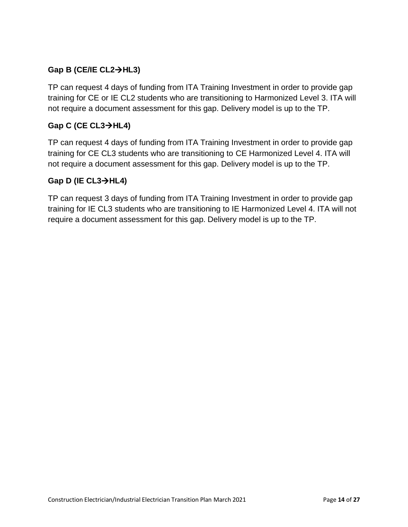#### **Gap B (CE/IE CL2**→**HL3)**

TP can request 4 days of funding from ITA Training Investment in order to provide gap training for CE or IE CL2 students who are transitioning to Harmonized Level 3. ITA will not require a document assessment for this gap. Delivery model is up to the TP.

#### **Gap C (CE CL3**→**HL4)**

TP can request 4 days of funding from ITA Training Investment in order to provide gap training for CE CL3 students who are transitioning to CE Harmonized Level 4. ITA will not require a document assessment for this gap. Delivery model is up to the TP.

#### **Gap D (IE CL3**→**HL4)**

TP can request 3 days of funding from ITA Training Investment in order to provide gap training for IE CL3 students who are transitioning to IE Harmonized Level 4. ITA will not require a document assessment for this gap. Delivery model is up to the TP.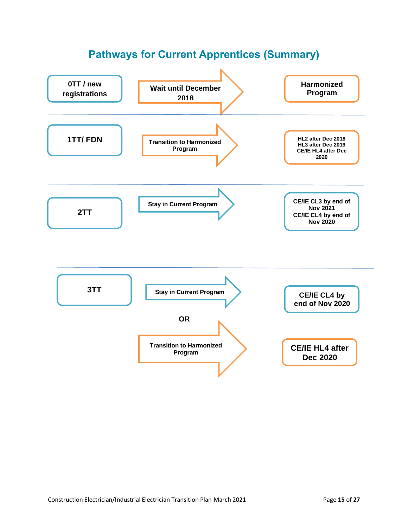<span id="page-14-0"></span>

## **Pathways for Current Apprentices (Summary)**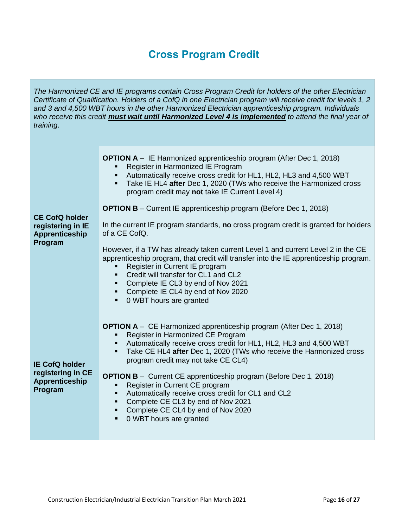## **Cross Program Credit**

<span id="page-15-0"></span>*The Harmonized CE and IE programs contain Cross Program Credit for holders of the other Electrician Certificate of Qualification. Holders of a CofQ in one Electrician program will receive credit for levels 1, 2 and 3 and 4,500 WBT hours in the other Harmonized Electrician apprenticeship program. Individuals who receive this credit must wait until Harmonized Level 4 is implemented to attend the final year of training.* 

| <b>CE CofQ holder</b><br>registering in IE<br><b>Apprenticeship</b><br>Program | <b>OPTION A</b> – IE Harmonized apprenticeship program (After Dec 1, 2018)<br>Register in Harmonized IE Program<br>Automatically receive cross credit for HL1, HL2, HL3 and 4,500 WBT<br>٠<br>Take IE HL4 after Dec 1, 2020 (TWs who receive the Harmonized cross<br>$\blacksquare$<br>program credit may not take IE Current Level 4)<br><b>OPTION B</b> – Current IE apprenticeship program (Before Dec 1, 2018)<br>In the current IE program standards, no cross program credit is granted for holders<br>of a CE CofQ.<br>However, if a TW has already taken current Level 1 and current Level 2 in the CE<br>apprenticeship program, that credit will transfer into the IE apprenticeship program.<br>Register in Current IE program<br>Credit will transfer for CL1 and CL2<br>Complete IE CL3 by end of Nov 2021<br>Complete IE CL4 by end of Nov 2020<br>٠<br>0 WBT hours are granted |
|--------------------------------------------------------------------------------|-----------------------------------------------------------------------------------------------------------------------------------------------------------------------------------------------------------------------------------------------------------------------------------------------------------------------------------------------------------------------------------------------------------------------------------------------------------------------------------------------------------------------------------------------------------------------------------------------------------------------------------------------------------------------------------------------------------------------------------------------------------------------------------------------------------------------------------------------------------------------------------------------|
| <b>IE CofQ holder</b><br>registering in CE<br><b>Apprenticeship</b><br>Program | <b>OPTION A</b> – CE Harmonized apprenticeship program (After Dec 1, 2018)<br>Register in Harmonized CE Program<br>Automatically receive cross credit for HL1, HL2, HL3 and 4,500 WBT<br>Take CE HL4 after Dec 1, 2020 (TWs who receive the Harmonized cross<br>٠<br>program credit may not take CE CL4)<br><b>OPTION B</b> – Current CE apprenticeship program (Before Dec 1, 2018)<br>Register in Current CE program<br>Automatically receive cross credit for CL1 and CL2<br>٠<br>Complete CE CL3 by end of Nov 2021<br>٠<br>Complete CE CL4 by end of Nov 2020<br>$\blacksquare$<br>0 WBT hours are granted<br>$\blacksquare$                                                                                                                                                                                                                                                             |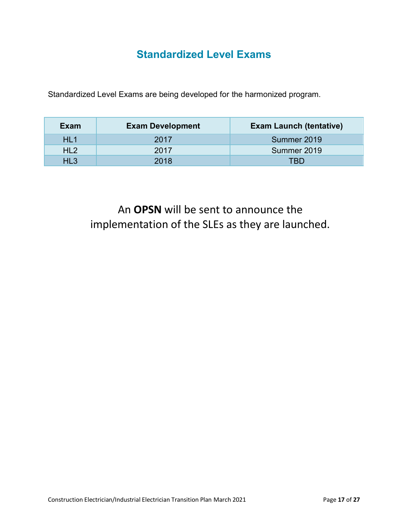## **Standardized Level Exams**

<span id="page-16-0"></span>Standardized Level Exams are being developed for the harmonized program.

| Exam            | <b>Exam Development</b> | <b>Exam Launch (tentative)</b> |
|-----------------|-------------------------|--------------------------------|
| HL <sub>1</sub> | 2017                    | Summer 2019                    |
| HL <sub>2</sub> | 2017                    | Summer 2019                    |
| HL3             | 2018                    | TRD                            |

An **OPSN** will be sent to announce the implementation of the SLEs as they are launched.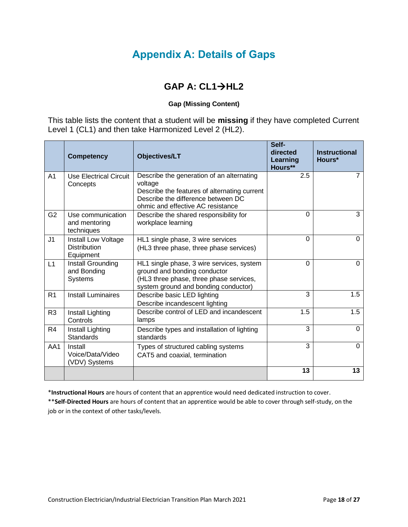## **Appendix A: Details of Gaps**

## **GAP A: CL1**→**HL2**

#### **Gap (Missing Content)**

<span id="page-17-0"></span>This table lists the content that a student will be **missing** if they have completed Current Level 1 (CL1) and then take Harmonized Level 2 (HL2).

|                | <b>Competency</b>                                       | <b>Objectives/LT</b>                                                                                                                                                            | Self-<br>directed<br>Learning<br>Hours** | <b>Instructional</b><br>Hours* |
|----------------|---------------------------------------------------------|---------------------------------------------------------------------------------------------------------------------------------------------------------------------------------|------------------------------------------|--------------------------------|
| A <sub>1</sub> | Use Electrical Circuit<br>Concepts                      | Describe the generation of an alternating<br>voltage<br>Describe the features of alternating current<br>Describe the difference between DC<br>ohmic and effective AC resistance | 2.5                                      | 7                              |
| G <sub>2</sub> | Use communication<br>and mentoring<br>techniques        | Describe the shared responsibility for<br>workplace learning                                                                                                                    | $\Omega$                                 | 3                              |
| J1             | Install Low Voltage<br><b>Distribution</b><br>Equipment | HL1 single phase, 3 wire services<br>(HL3 three phase, three phase services)                                                                                                    | $\Omega$                                 | $\Omega$                       |
| L1             | Install Grounding<br>and Bonding<br>Systems             | HL1 single phase, 3 wire services, system<br>ground and bonding conductor<br>(HL3 three phase, three phase services,<br>system ground and bonding conductor)                    | $\Omega$                                 | $\Omega$                       |
| R <sub>1</sub> | <b>Install Luminaires</b>                               | Describe basic LED lighting<br>Describe incandescent lighting                                                                                                                   | 3                                        | $\overline{1.5}$               |
| R <sub>3</sub> | Install Lighting<br>Controls                            | Describe control of LED and incandescent<br>lamps                                                                                                                               | 1.5                                      | 1.5                            |
| R <sub>4</sub> | Install Lighting<br><b>Standards</b>                    | Describe types and installation of lighting<br>standards                                                                                                                        | 3                                        | $\Omega$                       |
| AA1            | Install<br>Voice/Data/Video<br>(VDV) Systems            | Types of structured cabling systems<br>CAT5 and coaxial, termination                                                                                                            | 3                                        | $\Omega$                       |
|                |                                                         |                                                                                                                                                                                 | 13                                       | 13                             |

\***Instructional Hours** are hours of content that an apprentice would need dedicated instruction to cover.

\*\***Self-Directed Hours** are hours of content that an apprentice would be able to cover through self-study, on the job or in the context of other tasks/levels.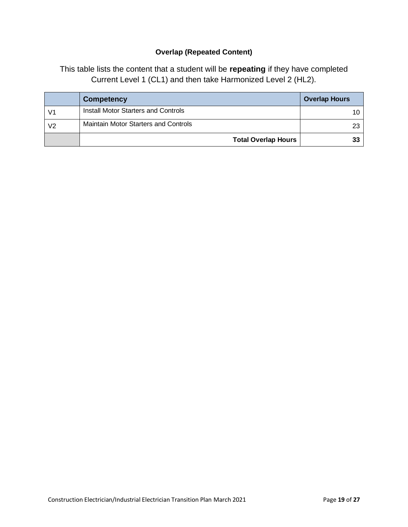#### **Overlap (Repeated Content)**

This table lists the content that a student will be **repeating** if they have completed Current Level 1 (CL1) and then take Harmonized Level 2 (HL2).

|                | Competency                                  | <b>Overlap Hours</b> |
|----------------|---------------------------------------------|----------------------|
| V1             | Install Motor Starters and Controls         |                      |
| V <sub>2</sub> | <b>Maintain Motor Starters and Controls</b> |                      |
|                | <b>Total Overlap Hours</b>                  |                      |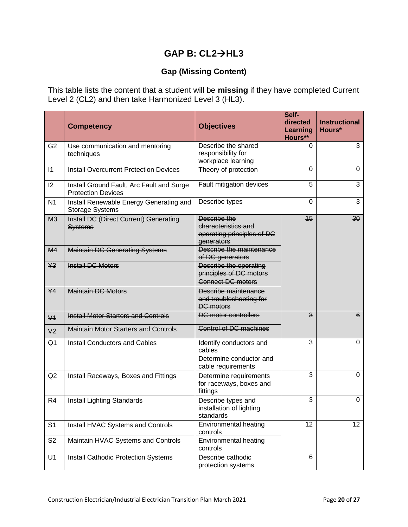#### **GAP B: CL2**→**HL3**

#### **Gap (Missing Content)**

This table lists the content that a student will be **missing** if they have completed Current Level 2 (CL2) and then take Harmonized Level 3 (HL3).

|                |                                                                        | <b>Objectives</b>                                                                  | Self-<br>directed   | <b>Instructional</b> |
|----------------|------------------------------------------------------------------------|------------------------------------------------------------------------------------|---------------------|----------------------|
|                | <b>Competency</b>                                                      |                                                                                    | Learning<br>Hours** | Hours*               |
| G <sub>2</sub> | Use communication and mentoring<br>techniques                          | Describe the shared<br>responsibility for<br>workplace learning                    | 0                   | 3                    |
| 1              | <b>Install Overcurrent Protection Devices</b>                          | Theory of protection                                                               | $\mathbf 0$         | $\mathbf 0$          |
| 12             | Install Ground Fault, Arc Fault and Surge<br><b>Protection Devices</b> | Fault mitigation devices                                                           | 5                   | 3                    |
| N <sub>1</sub> | Install Renewable Energy Generating and<br><b>Storage Systems</b>      | Describe types                                                                     | 0                   | 3                    |
| M <sub>3</sub> | <b>Install DC (Direct Current) Generating</b><br><b>Systems</b>        | Describe the<br>characteristics and<br>operating principles of DC<br>generators    | 15                  | 30 <sub>o</sub>      |
| M4             | <b>Maintain DC Generating Systems</b>                                  | Describe the maintenance<br>of DC generators                                       |                     |                      |
| Y3             | <b>Install DC Motors</b>                                               | Describe the operating<br>principles of DC motors<br><b>Connect DC motors</b>      |                     |                      |
| $Y$ 4          | <b>Maintain DC Motors</b>                                              | Describe maintenance<br>and troubleshooting for<br><b>DC</b> motors                |                     |                      |
| $\sqrt{4}$     | <b>Install Motor Starters and Controls</b>                             | <b>DC</b> motor controllers                                                        | 3                   | $6^{\circ}$          |
| V <sub>2</sub> | <b>Maintain Motor Starters and Controls</b>                            | <b>Control of DC machines</b>                                                      |                     |                      |
| Q <sub>1</sub> | Install Conductors and Cables                                          | Identify conductors and<br>cables<br>Determine conductor and<br>cable requirements | 3                   | $\mathbf 0$          |
| Q2             | Install Raceways, Boxes and Fittings                                   | Determine requirements<br>for raceways, boxes and<br>fittings                      | 3                   | $\mathbf 0$          |
| R <sub>4</sub> | Install Lighting Standards                                             | Describe types and<br>installation of lighting<br>standards                        | 3                   | $\Omega$             |
| S <sub>1</sub> | Install HVAC Systems and Controls                                      | Environmental heating<br>controls                                                  | 12                  | 12 <sup>2</sup>      |
| S <sub>2</sub> | Maintain HVAC Systems and Controls                                     | Environmental heating<br>controls                                                  |                     |                      |
| U1             | Install Cathodic Protection Systems                                    | Describe cathodic<br>protection systems                                            | 6                   |                      |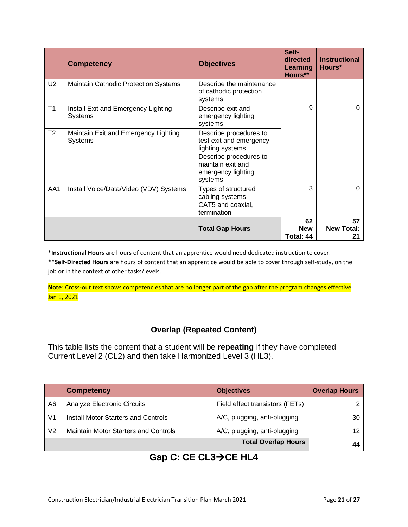|                | <b>Competency</b>                               | <b>Objectives</b>                                                                                                                                     | Self-<br>directed<br><b>Learning</b><br>Hours** | <b>Instructional</b><br>Hours* |
|----------------|-------------------------------------------------|-------------------------------------------------------------------------------------------------------------------------------------------------------|-------------------------------------------------|--------------------------------|
| U2             | <b>Maintain Cathodic Protection Systems</b>     | Describe the maintenance<br>of cathodic protection<br>systems                                                                                         |                                                 |                                |
| T1             | Install Exit and Emergency Lighting<br>Systems  | Describe exit and<br>emergency lighting<br>systems                                                                                                    | 9                                               | $\Omega$                       |
| T <sub>2</sub> | Maintain Exit and Emergency Lighting<br>Systems | Describe procedures to<br>test exit and emergency<br>lighting systems<br>Describe procedures to<br>maintain exit and<br>emergency lighting<br>systems |                                                 |                                |
| AA1            | Install Voice/Data/Video (VDV) Systems          | Types of structured<br>cabling systems<br>CAT5 and coaxial,<br>termination                                                                            | 3                                               | $\Omega$                       |
|                |                                                 | <b>Total Gap Hours</b>                                                                                                                                | 62<br><b>New</b><br>Total: 44                   | 57<br><b>New Total:</b><br>21  |

\***Instructional Hours** are hours of content that an apprentice would need dedicated instruction to cover.

\*\***Self-Directed Hours** are hours of content that an apprentice would be able to cover through self-study, on the job or in the context of other tasks/levels.

**Note**: Cross-out text shows competencies that are no longer part of the gap after the program changes effective Jan 1, 2021

#### **Overlap (Repeated Content)**

This table lists the content that a student will be **repeating** if they have completed Current Level 2 (CL2) and then take Harmonized Level 3 (HL3).

|                | <b>Competency</b>                           | <b>Objectives</b>               | <b>Overlap Hours</b> |
|----------------|---------------------------------------------|---------------------------------|----------------------|
| A6             | Analyze Electronic Circuits                 | Field effect transistors (FETs) |                      |
| V <sub>1</sub> | <b>Install Motor Starters and Controls</b>  | A/C, plugging, anti-plugging    | 30                   |
| V2             | <b>Maintain Motor Starters and Controls</b> | A/C, plugging, anti-plugging    |                      |
|                |                                             | <b>Total Overlap Hours</b>      |                      |

#### **Gap C: CE CL3**→**CE HL4**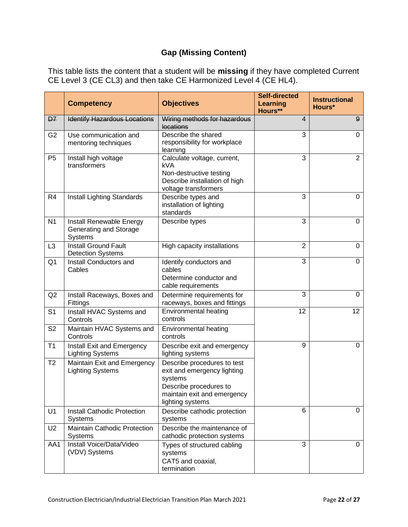#### **Gap (Missing Content)**

This table lists the content that a student will be **missing** if they have completed Current CE Level 3 (CE CL3) and then take CE Harmonized Level 4 (CE HL4).

|                | <b>Competency</b>                                             | <b>Objectives</b>                                                                                                                                  | <b>Self-directed</b><br>Learning<br>Hours** | <b>Instructional</b><br>Hours* |
|----------------|---------------------------------------------------------------|----------------------------------------------------------------------------------------------------------------------------------------------------|---------------------------------------------|--------------------------------|
| D <sub>7</sub> | <b>Identify Hazardous Locations</b>                           | Wiring methods for hazardous<br>locations                                                                                                          | $\overline{4}$                              | $9^{\circ}$                    |
| G <sub>2</sub> | Use communication and<br>mentoring techniques                 | Describe the shared<br>responsibility for workplace<br>learning                                                                                    | 3                                           | 0                              |
| P <sub>5</sub> | Install high voltage<br>transformers                          | Calculate voltage, current,<br>kVA<br>Non-destructive testing<br>Describe installation of high<br>voltage transformers                             | $\overline{3}$                              | $\overline{2}$                 |
| R <sub>4</sub> | Install Lighting Standards                                    | Describe types and<br>installation of lighting<br>standards                                                                                        | 3                                           | 0                              |
| N <sub>1</sub> | Install Renewable Energy<br>Generating and Storage<br>Systems | Describe types                                                                                                                                     | 3                                           | $\mathbf 0$                    |
| L <sub>3</sub> | <b>Install Ground Fault</b><br><b>Detection Systems</b>       | High capacity installations                                                                                                                        | $\overline{2}$                              | $\mathbf 0$                    |
| Q <sub>1</sub> | Install Conductors and<br>Cables                              | Identify conductors and<br>cables<br>Determine conductor and<br>cable requirements                                                                 | 3                                           | $\mathbf 0$                    |
| Q2             | Install Raceways, Boxes and<br>Fittings                       | Determine requirements for<br>raceways, boxes and fittings                                                                                         | 3                                           | $\mathbf 0$                    |
| S <sub>1</sub> | Install HVAC Systems and<br>Controls                          | <b>Environmental heating</b><br>controls                                                                                                           | 12                                          | 12 <sup>°</sup>                |
| S <sub>2</sub> | Maintain HVAC Systems and<br>Controls                         | Environmental heating<br>controls                                                                                                                  |                                             |                                |
| T1             | Install Exit and Emergency<br><b>Lighting Systems</b>         | Describe exit and emergency<br>lighting systems                                                                                                    | 9                                           | $\mathbf 0$                    |
| T <sub>2</sub> | Maintain Exit and Emergency<br><b>Lighting Systems</b>        | Describe procedures to test<br>exit and emergency lighting<br>systems<br>Describe procedures to<br>maintain exit and emergency<br>lighting systems |                                             |                                |
| U1             | Install Cathodic Protection<br><b>Systems</b>                 | Describe cathodic protection<br>systems                                                                                                            | 6                                           | 0                              |
| U <sub>2</sub> | Maintain Cathodic Protection<br><b>Systems</b>                | Describe the maintenance of<br>cathodic protection systems                                                                                         |                                             |                                |
| AA1            | Install Voice/Data/Video<br>(VDV) Systems                     | Types of structured cabling<br>systems<br>CAT5 and coaxial,<br>termination                                                                         | 3                                           | $\mathbf 0$                    |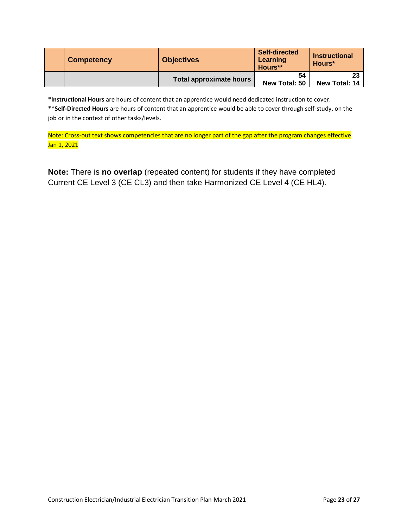| <b>Competency</b> | <b>Objectives</b>       | <b>Self-directed</b><br>Learning<br>Hours** | <b>Instructional</b><br>Hours* |
|-------------------|-------------------------|---------------------------------------------|--------------------------------|
|                   | Total approximate hours | 54<br>New Total: 50                         | 23<br>New Total: 14            |

\***Instructional Hours** are hours of content that an apprentice would need dedicated instruction to cover.

\*\***Self-Directed Hours** are hours of content that an apprentice would be able to cover through self-study, on the job or in the context of other tasks/levels.

Note: Cross-out text shows competencies that are no longer part of the gap after the program changes effective Jan 1, 2021

**Note:** There is **no overlap** (repeated content) for students if they have completed Current CE Level 3 (CE CL3) and then take Harmonized CE Level 4 (CE HL4).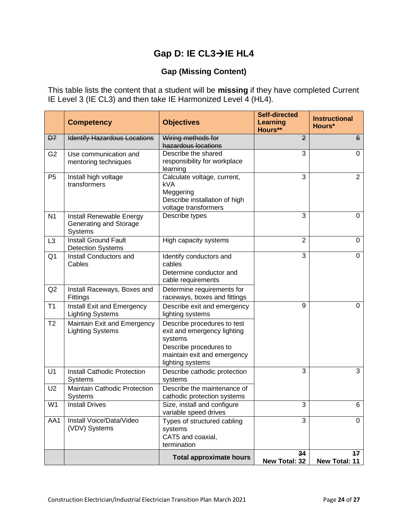## **Gap D: IE CL3**→**IE HL4**

#### **Gap (Missing Content)**

This table lists the content that a student will be **missing** if they have completed Current IE Level 3 (IE CL3) and then take IE Harmonized Level 4 (HL4).

|                | <b>Competency</b>                                             | <b>Objectives</b>                                                                                                                                  | <b>Self-directed</b><br><b>Learning</b><br>Hours** | <b>Instructional</b><br>Hours* |
|----------------|---------------------------------------------------------------|----------------------------------------------------------------------------------------------------------------------------------------------------|----------------------------------------------------|--------------------------------|
| D7             | <b>Identify Hazardous Locations</b>                           | Wiring methods for<br>hazardous locations                                                                                                          | $\overline{2}$                                     | 6                              |
| G <sub>2</sub> | Use communication and<br>mentoring techniques                 | Describe the shared<br>responsibility for workplace<br>learning                                                                                    | 3                                                  | $\mathbf 0$                    |
| P <sub>5</sub> | Install high voltage<br>transformers                          | Calculate voltage, current,<br><b>kVA</b><br>Meggering<br>Describe installation of high<br>voltage transformers                                    | 3                                                  | $\overline{2}$                 |
| N <sub>1</sub> | Install Renewable Energy<br>Generating and Storage<br>Systems | Describe types                                                                                                                                     | 3                                                  | 0                              |
| L <sub>3</sub> | <b>Install Ground Fault</b><br><b>Detection Systems</b>       | High capacity systems                                                                                                                              | $\overline{2}$                                     | 0                              |
| Q <sub>1</sub> | Install Conductors and<br>Cables                              | Identify conductors and<br>cables<br>Determine conductor and<br>cable requirements                                                                 | 3                                                  | 0                              |
| Q2             | Install Raceways, Boxes and<br>Fittings                       | Determine requirements for<br>raceways, boxes and fittings                                                                                         |                                                    |                                |
| T1             | Install Exit and Emergency<br><b>Lighting Systems</b>         | Describe exit and emergency<br>lighting systems                                                                                                    | 9                                                  | $\overline{0}$                 |
| T <sub>2</sub> | Maintain Exit and Emergency<br><b>Lighting Systems</b>        | Describe procedures to test<br>exit and emergency lighting<br>systems<br>Describe procedures to<br>maintain exit and emergency<br>lighting systems |                                                    |                                |
| U1             | <b>Install Cathodic Protection</b><br><b>Systems</b>          | Describe cathodic protection<br>systems                                                                                                            | 3                                                  | 3                              |
| U <sub>2</sub> | <b>Maintain Cathodic Protection</b><br>Systems                | Describe the maintenance of<br>cathodic protection systems                                                                                         |                                                    |                                |
| W <sub>1</sub> | <b>Install Drives</b>                                         | Size, install and configure<br>variable speed drives                                                                                               | 3                                                  | 6                              |
| AA1            | Install Voice/Data/Video<br>(VDV) Systems                     | Types of structured cabling<br>systems<br>CAT5 and coaxial,<br>termination                                                                         | 3                                                  | $\mathbf 0$                    |
|                |                                                               | <b>Total approximate hours</b>                                                                                                                     | 34<br>New Total: 32                                | 17<br>New Total: 11            |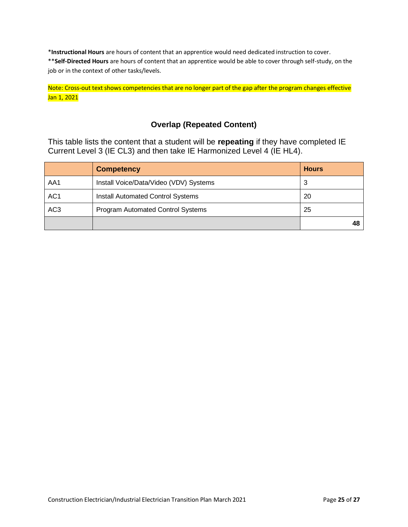\***Instructional Hours** are hours of content that an apprentice would need dedicated instruction to cover. \*\***Self-Directed Hours** are hours of content that an apprentice would be able to cover through self-study, on the job or in the context of other tasks/levels.

#### Note: Cross-out text shows competencies that are no longer part of the gap after the program changes effective Jan 1, 2021

#### **Overlap (Repeated Content)**

This table lists the content that a student will be **repeating** if they have completed IE Current Level 3 (IE CL3) and then take IE Harmonized Level 4 (IE HL4).

|                 | <b>Competency</b>                        | <b>Hours</b> |
|-----------------|------------------------------------------|--------------|
| AA1             | Install Voice/Data/Video (VDV) Systems   | 3            |
| AC <sub>1</sub> | <b>Install Automated Control Systems</b> | 20           |
| AC <sub>3</sub> | Program Automated Control Systems        | 25           |
|                 |                                          |              |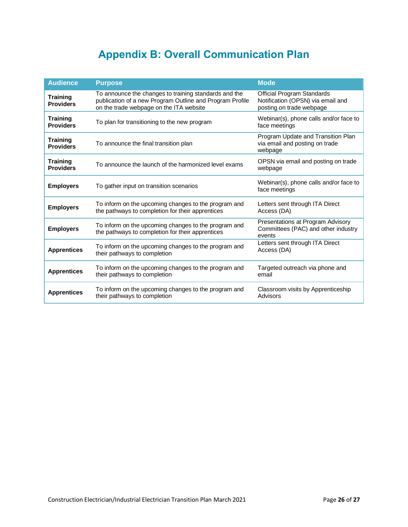# **Appendix B: Overall Communication Plan**

<span id="page-25-0"></span>

| <b>Audience</b>                     | <b>Purpose</b>                                                                                                                                               | <b>Mode</b>                                                                                 |
|-------------------------------------|--------------------------------------------------------------------------------------------------------------------------------------------------------------|---------------------------------------------------------------------------------------------|
| <b>Training</b><br><b>Providers</b> | To announce the changes to training standards and the<br>publication of a new Program Outline and Program Profile<br>on the trade webpage on the ITA website | Official Program Standards<br>Notification (OPSN) via email and<br>posting on trade webpage |
| <b>Training</b><br><b>Providers</b> | To plan for transitioning to the new program                                                                                                                 | Webinar(s), phone calls and/or face to<br>face meetings                                     |
| <b>Training</b><br><b>Providers</b> | To announce the final transition plan                                                                                                                        | Program Update and Transition Plan<br>via email and posting on trade<br>webpage             |
| <b>Training</b><br><b>Providers</b> | To announce the launch of the harmonized level exams                                                                                                         | OPSN via email and posting on trade<br>webpage                                              |
| <b>Employers</b>                    | To gather input on transition scenarios                                                                                                                      | Webinar(s), phone calls and/or face to<br>face meetings                                     |
| <b>Employers</b>                    | To inform on the upcoming changes to the program and<br>the pathways to completion for their apprentices                                                     | Letters sent through ITA Direct<br>Access (DA)                                              |
| <b>Employers</b>                    | To inform on the upcoming changes to the program and<br>the pathways to completion for their apprentices                                                     | Presentations at Program Advisory<br>Committees (PAC) and other industry<br>events          |
| <b>Apprentices</b>                  | To inform on the upcoming changes to the program and<br>their pathways to completion                                                                         | Letters sent through ITA Direct<br>Access (DA)                                              |
| <b>Apprentices</b>                  | To inform on the upcoming changes to the program and<br>their pathways to completion                                                                         | Targeted outreach via phone and<br>email                                                    |
| <b>Apprentices</b>                  | To inform on the upcoming changes to the program and<br>their pathways to completion                                                                         | Classroom visits by Apprenticeship<br>Advisors                                              |